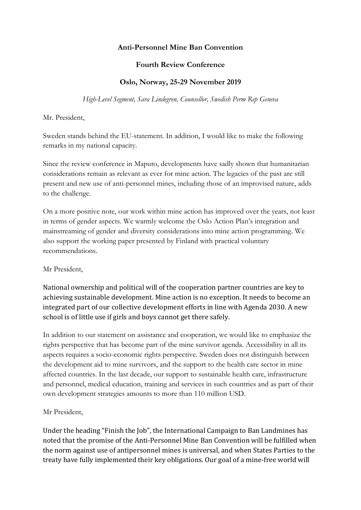## **Anti-Personnel Mine Ban Convention**

## **Fourth Review Conference**

## **Oslo, Norway, 25-29 November 2019**

*High-Level Segment, Sara Lindegren, Counsellor, Swedish Perm Rep Geneva*

Mr. President,

Sweden stands behind the EU-statement. In addition, I would like to make the following remarks in my national capacity.

Since the review conference in Maputo, developments have sadly shown that humanitarian considerations remain as relevant as ever for mine action. The legacies of the past are still present and new use of anti-personnel mines, including those of an improvised nature, adds to the challenge.

On a more positive note, our work within mine action has improved over the years, not least in terms of gender aspects. We warmly welcome the Oslo Action Plan's integration and mainstreaming of gender and diversity considerations into mine action programming. We also support the working paper presented by Finland with practical voluntary recommendations.

Mr President,

National ownership and political will of the cooperation partner countries are key to achieving sustainable development. Mine action is no exception. It needs to become an integrated part of our collective development efforts in line with Agenda 2030. A new school is of little use if girls and boys cannot get there safely.

In addition to our statement on assistance and cooperation, we would like to emphasize the rights perspective that has become part of the mine survivor agenda. Accessibility in all its aspects requires a socio-economic rights perspective. Sweden does not distinguish between the development aid to mine survivors, and the support to the health care sector in mine affected countries. In the last decade, our support to sustainable health care, infrastructure and personnel, medical education, training and services in such countries and as part of their own development strategies amounts to more than 110 million USD.

Mr President,

Under the heading "Finish the Job", the International Campaign to Ban Landmines has noted that the promise of the Anti-Personnel Mine Ban Convention will be fulfilled when the norm against use of antipersonnel mines is universal, and when States Parties to the treaty have fully implemented their key obligations. Our goal of a mine-free world will